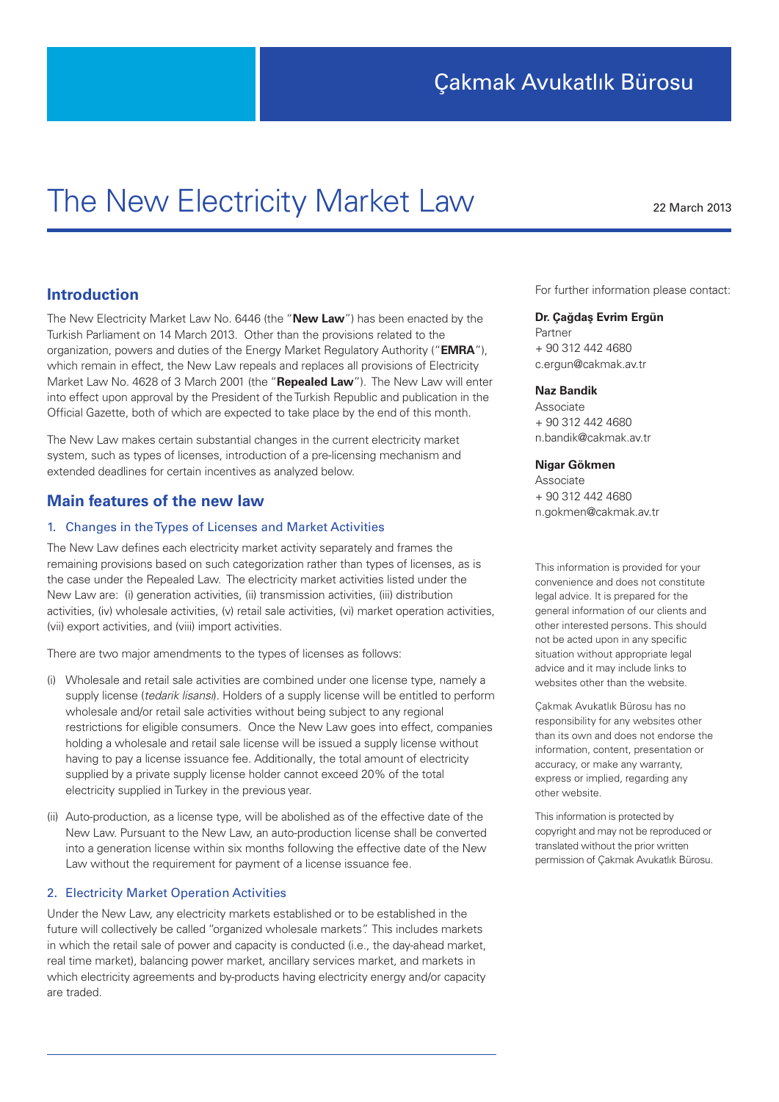# The New Electricity Market Law 22 March 2013

# **Introduction**

The New Electricity Market Law No. 6446 (the "**New Law**") has been enacted by the Turkish Parliament on 14 March 2013. Other than the provisions related to the organization, powers and duties of the Energy Market Regulatory Authority ("**EMRA**"), which remain in effect, the New Law repeals and replaces all provisions of Electricity Market Law No. 4628 of 3 March 2001 (the "**Repealed Law**"). The New Law will enter into effect upon approval by the President of the Turkish Republic and publication in the Official Gazette, both of which are expected to take place by the end of this month.

The New Law makes certain substantial changes in the current electricity market system, such as types of licenses, introduction of a pre-licensing mechanism and extended deadlines for certain incentives as analyzed below.

# **Main features of the new law**

# 1. Changes in the Types of Licenses and Market Activities

The New Law defines each electricity market activity separately and frames the remaining provisions based on such categorization rather than types of licenses, as is the case under the Repealed Law. The electricity market activities listed under the New Law are: (i) generation activities, (ii) transmission activities, (iii) distribution activities, (iv) wholesale activities, (v) retail sale activities, (vi) market operation activities, (vii) export activities, and (viii) import activities.

There are two major amendments to the types of licenses as follows:

- (i) Wholesale and retail sale activities are combined under one license type, namely a supply license (*tedarik lisansı*). Holders of a supply license will be entitled to perform wholesale and/or retail sale activities without being subject to any regional restrictions for eligible consumers. Once the New Law goes into effect, companies holding a wholesale and retail sale license will be issued a supply license without having to pay a license issuance fee. Additionally, the total amount of electricity supplied by a private supply license holder cannot exceed 20% of the total electricity supplied in Turkey in the previous year.
- (ii) Auto-production, as a license type, will be abolished as of the effective date of the New Law. Pursuant to the New Law, an auto-production license shall be converted into a generation license within six months following the effective date of the New Law without the requirement for payment of a license issuance fee.

# 2. Electricity Market Operation Activities

Under the New Law, any electricity markets established or to be established in the future will collectively be called "organized wholesale markets". This includes markets in which the retail sale of power and capacity is conducted (i.e., the day-ahead market, real time market), balancing power market, ancillary services market, and markets in which electricity agreements and by-products having electricity energy and/or capacity are traded.

For further information please contact:

## **Dr. Çağdaş Evrim Ergün**

Partner + 90 312 442 4680 c.ergun@cakmak.av.tr

#### **Naz Bandik**

Associate + 90 312 442 4680 n.bandik@cakmak.av.tr

# **Nigar Gökmen**

Associate + 90 312 442 4680 n.gokmen@cakmak.av.tr

This information is provided for your convenience and does not constitute legal advice. It is prepared for the general information of our clients and other interested persons. This should not be acted upon in any specific situation without appropriate legal advice and it may include links to websites other than the website.

Çakmak Avukatlık Bürosu has no responsibility for any websites other than its own and does not endorse the information, content, presentation or accuracy, or make any warranty, express or implied, regarding any other website.

This information is protected by copyright and may not be reproduced or translated without the prior written permission of Çakmak Avukatlık Bürosu.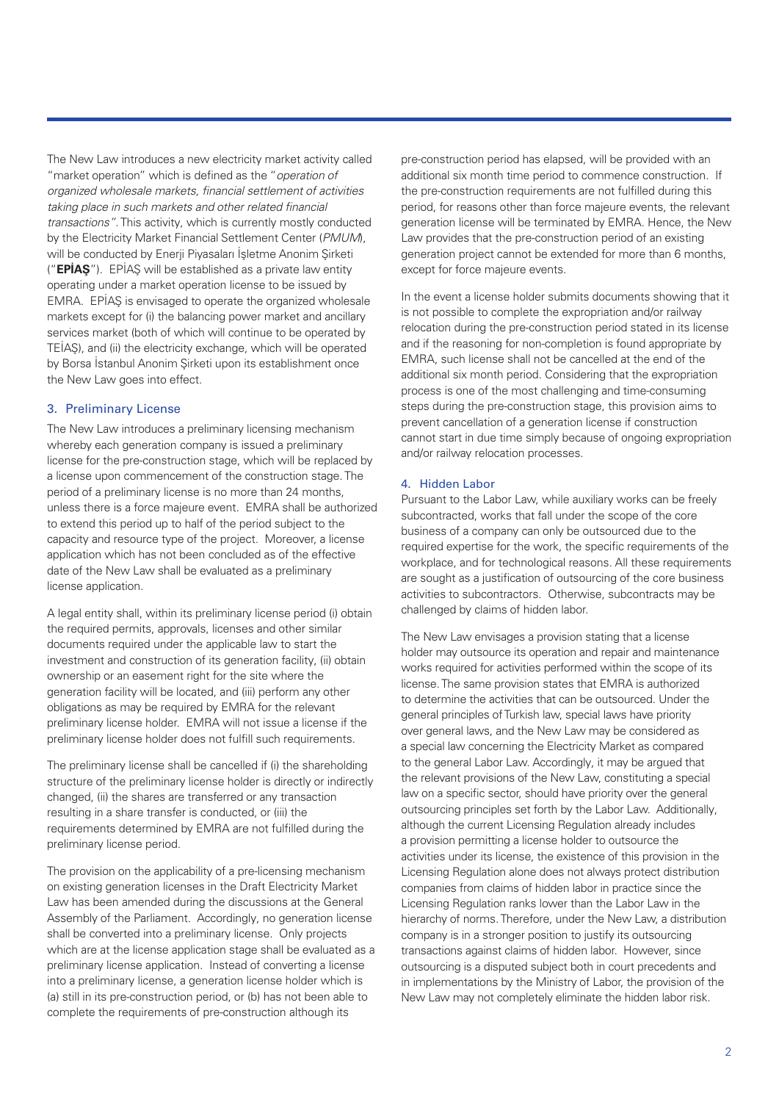The New Law introduces a new electricity market activity called "market operation" which is defined as the "*operation of organized wholesale markets, financial settlement of activities taking place in such markets and other related financial transactions"*. This activity, which is currently mostly conducted by the Electricity Market Financial Settlement Center (*PMUM*), will be conducted by Enerji Piyasaları İşletme Anonim Şirketi ("**EPİAŞ**"). EPİAŞ will be established as a private law entity operating under a market operation license to be issued by EMRA. EPİAŞ is envisaged to operate the organized wholesale markets except for (i) the balancing power market and ancillary services market (both of which will continue to be operated by TEİAŞ), and (ii) the electricity exchange, which will be operated by Borsa İstanbul Anonim Şirketi upon its establishment once the New Law goes into effect.

# 3. Preliminary License

The New Law introduces a preliminary licensing mechanism whereby each generation company is issued a preliminary license for the pre-construction stage, which will be replaced by a license upon commencement of the construction stage. The period of a preliminary license is no more than 24 months, unless there is a force majeure event. EMRA shall be authorized to extend this period up to half of the period subject to the capacity and resource type of the project. Moreover, a license application which has not been concluded as of the effective date of the New Law shall be evaluated as a preliminary license application.

A legal entity shall, within its preliminary license period (i) obtain the required permits, approvals, licenses and other similar documents required under the applicable law to start the investment and construction of its generation facility, (ii) obtain ownership or an easement right for the site where the generation facility will be located, and (iii) perform any other obligations as may be required by EMRA for the relevant preliminary license holder. EMRA will not issue a license if the preliminary license holder does not fulfill such requirements.

The preliminary license shall be cancelled if (i) the shareholding structure of the preliminary license holder is directly or indirectly changed, (ii) the shares are transferred or any transaction resulting in a share transfer is conducted, or (iii) the requirements determined by EMRA are not fulfilled during the preliminary license period.

The provision on the applicability of a pre-licensing mechanism on existing generation licenses in the Draft Electricity Market Law has been amended during the discussions at the General Assembly of the Parliament. Accordingly, no generation license shall be converted into a preliminary license. Only projects which are at the license application stage shall be evaluated as a preliminary license application. Instead of converting a license into a preliminary license, a generation license holder which is (a) still in its pre-construction period, or (b) has not been able to complete the requirements of pre-construction although its

pre-construction period has elapsed, will be provided with an additional six month time period to commence construction. If the pre-construction requirements are not fulfilled during this period, for reasons other than force majeure events, the relevant generation license will be terminated by EMRA. Hence, the New Law provides that the pre-construction period of an existing generation project cannot be extended for more than 6 months, except for force majeure events.

In the event a license holder submits documents showing that it is not possible to complete the expropriation and/or railway relocation during the pre-construction period stated in its license and if the reasoning for non-completion is found appropriate by EMRA, such license shall not be cancelled at the end of the additional six month period. Considering that the expropriation process is one of the most challenging and time-consuming steps during the pre-construction stage, this provision aims to prevent cancellation of a generation license if construction cannot start in due time simply because of ongoing expropriation and/or railway relocation processes.

# 4. Hidden Labor

Pursuant to the Labor Law, while auxiliary works can be freely subcontracted, works that fall under the scope of the core business of a company can only be outsourced due to the required expertise for the work, the specific requirements of the workplace, and for technological reasons. All these requirements are sought as a justification of outsourcing of the core business activities to subcontractors. Otherwise, subcontracts may be challenged by claims of hidden labor.

The New Law envisages a provision stating that a license holder may outsource its operation and repair and maintenance works required for activities performed within the scope of its license. The same provision states that EMRA is authorized to determine the activities that can be outsourced. Under the general principles of Turkish law, special laws have priority over general laws, and the New Law may be considered as a special law concerning the Electricity Market as compared to the general Labor Law. Accordingly, it may be argued that the relevant provisions of the New Law, constituting a special law on a specific sector, should have priority over the general outsourcing principles set forth by the Labor Law. Additionally, although the current Licensing Regulation already includes a provision permitting a license holder to outsource the activities under its license, the existence of this provision in the Licensing Regulation alone does not always protect distribution companies from claims of hidden labor in practice since the Licensing Regulation ranks lower than the Labor Law in the hierarchy of norms. Therefore, under the New Law, a distribution company is in a stronger position to justify its outsourcing transactions against claims of hidden labor. However, since outsourcing is a disputed subject both in court precedents and in implementations by the Ministry of Labor, the provision of the New Law may not completely eliminate the hidden labor risk.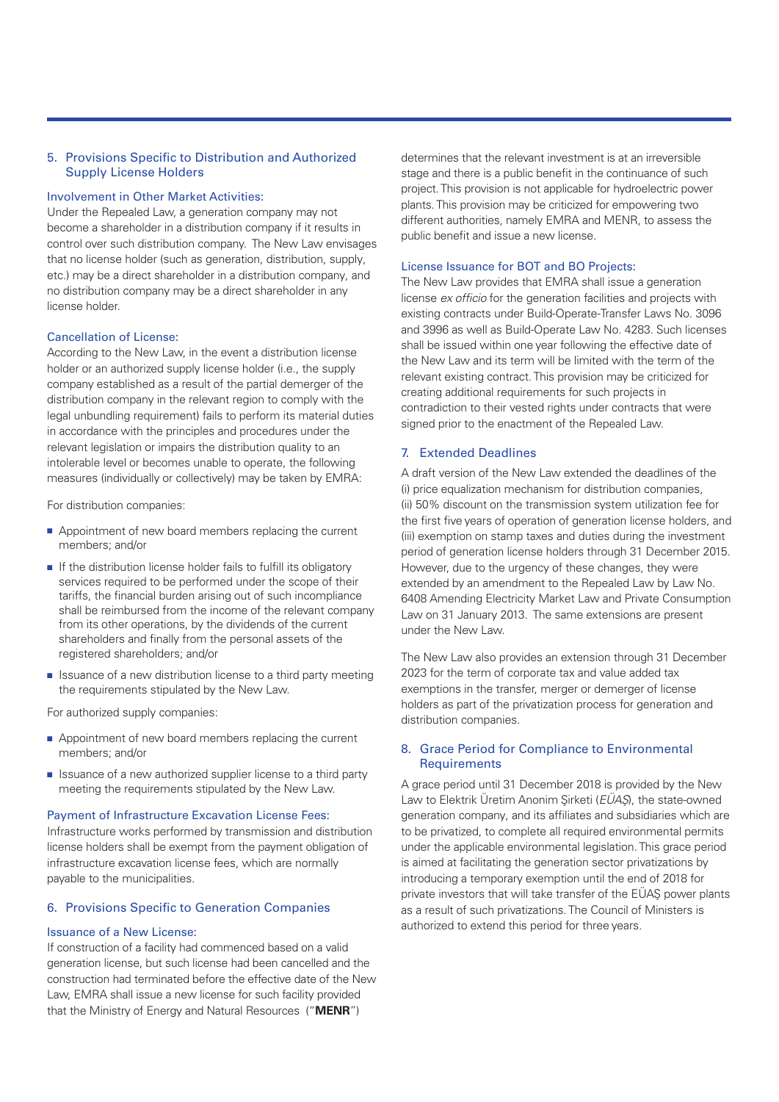# 5. Provisions Specific to Distribution and Authorized Supply License Holders

#### Involvement in Other Market Activities:

Under the Repealed Law, a generation company may not become a shareholder in a distribution company if it results in control over such distribution company. The New Law envisages that no license holder (such as generation, distribution, supply, etc.) may be a direct shareholder in a distribution company, and no distribution company may be a direct shareholder in any license holder.

#### Cancellation of License:

According to the New Law, in the event a distribution license holder or an authorized supply license holder (i.e., the supply company established as a result of the partial demerger of the distribution company in the relevant region to comply with the legal unbundling requirement) fails to perform its material duties in accordance with the principles and procedures under the relevant legislation or impairs the distribution quality to an intolerable level or becomes unable to operate, the following measures (individually or collectively) may be taken by EMRA:

For distribution companies:

- Appointment of new board members replacing the current members; and/or
- If the distribution license holder fails to fulfill its obligatory services required to be performed under the scope of their tariffs, the financial burden arising out of such incompliance shall be reimbursed from the income of the relevant company from its other operations, by the dividends of the current shareholders and finally from the personal assets of the registered shareholders; and/or
- Issuance of a new distribution license to a third party meeting the requirements stipulated by the New Law.

For authorized supply companies:

- Appointment of new board members replacing the current members; and/or
- Issuance of a new authorized supplier license to a third party meeting the requirements stipulated by the New Law.

#### Payment of Infrastructure Excavation License Fees:

Infrastructure works performed by transmission and distribution license holders shall be exempt from the payment obligation of infrastructure excavation license fees, which are normally payable to the municipalities.

## 6. Provisions Specific to Generation Companies

#### Issuance of a New License:

If construction of a facility had commenced based on a valid generation license, but such license had been cancelled and the construction had terminated before the effective date of the New Law, EMRA shall issue a new license for such facility provided that the Ministry of Energy and Natural Resources ("**MENR**")

determines that the relevant investment is at an irreversible stage and there is a public benefit in the continuance of such project. This provision is not applicable for hydroelectric power plants. This provision may be criticized for empowering two different authorities, namely EMRA and MENR, to assess the public benefit and issue a new license.

#### License Issuance for BOT and BO Projects:

The New Law provides that EMRA shall issue a generation license *ex officio* for the generation facilities and projects with existing contracts under Build-Operate-Transfer Laws No. 3096 and 3996 as well as Build-Operate Law No. 4283. Such licenses shall be issued within one year following the effective date of the New Law and its term will be limited with the term of the relevant existing contract. This provision may be criticized for creating additional requirements for such projects in contradiction to their vested rights under contracts that were signed prior to the enactment of the Repealed Law.

# 7. Extended Deadlines

A draft version of the New Law extended the deadlines of the (i) price equalization mechanism for distribution companies, (ii) 50% discount on the transmission system utilization fee for the first five years of operation of generation license holders, and (iii) exemption on stamp taxes and duties during the investment period of generation license holders through 31 December 2015. However, due to the urgency of these changes, they were extended by an amendment to the Repealed Law by Law No. 6408 Amending Electricity Market Law and Private Consumption Law on 31 January 2013. The same extensions are present under the New Law.

The New Law also provides an extension through 31 December 2023 for the term of corporate tax and value added tax exemptions in the transfer, merger or demerger of license holders as part of the privatization process for generation and distribution companies.

## 8. Grace Period for Compliance to Environmental **Requirements**

A grace period until 31 December 2018 is provided by the New Law to Elektrik Üretim Anonim Şirketi (*EÜAŞ*), the state-owned generation company, and its affiliates and subsidiaries which are to be privatized, to complete all required environmental permits under the applicable environmental legislation. This grace period is aimed at facilitating the generation sector privatizations by introducing a temporary exemption until the end of 2018 for private investors that will take transfer of the EÜAŞ power plants as a result of such privatizations. The Council of Ministers is authorized to extend this period for three years.